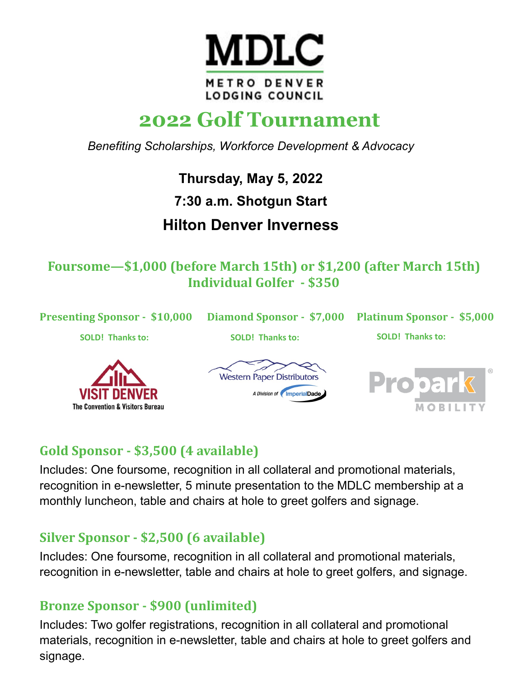

# **2022 Golf Tournament**

*Benefiting Scholarships, Workforce Development & Advocacy*

**Thursday, May 5, 2022** 

**7:30 a.m. Shotgun Start**

# **Hilton Denver Inverness**

**Foursome—\$1,000 (before March 15th) or \$1,200 (after March 15th) Individual Golfer - \$350**



## **Gold Sponsor - \$3,500 (4 available)**

Includes: One foursome, recognition in all collateral and promotional materials, recognition in e-newsletter, 5 minute presentation to the MDLC membership at a monthly luncheon, table and chairs at hole to greet golfers and signage.

#### **Silver Sponsor - \$2,500 (6 available)**

Includes: One foursome, recognition in all collateral and promotional materials, recognition in e-newsletter, table and chairs at hole to greet golfers, and signage.

#### **Bronze Sponsor - \$900 (unlimited)**

Includes: Two golfer registrations, recognition in all collateral and promotional materials, recognition in e-newsletter, table and chairs at hole to greet golfers and signage.